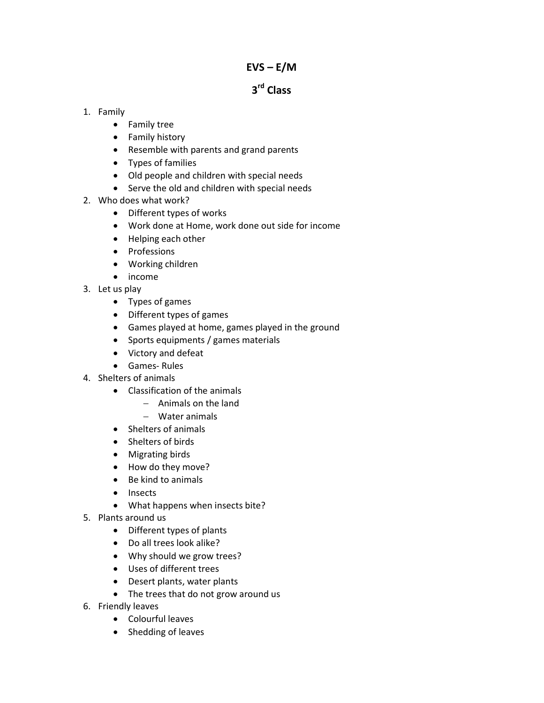## $EVS - E/M$

# 3<sup>rd</sup> Class

## 1. Family

- Family tree
- Family history
- Resemble with parents and grand parents
- Types of families
- Old people and children with special needs
- Serve the old and children with special needs
- 2. Who does what work?
	- Different types of works
	- Work done at Home, work done out side for income
	- Helping each other
	- Professions
	- Working children
	- income
- 3. Let us play
	- Types of games
	- Different types of games
	- Games played at home, games played in the ground
	- Sports equipments / games materials
	- Victory and defeat
	- Games- Rules
- 4. Shelters of animals
	- Classification of the animals
		- − Animals on the land
		- − Water animals
	- Shelters of animals
	- Shelters of birds
	- Migrating birds
	- How do they move?
	- Be kind to animals
	- Insects
	- What happens when insects bite?
- 5. Plants around us
	- Different types of plants
	- Do all trees look alike?
	- Why should we grow trees?
	- Uses of different trees
	- Desert plants, water plants
	- The trees that do not grow around us
- 6. Friendly leaves
	- Colourful leaves
	- Shedding of leaves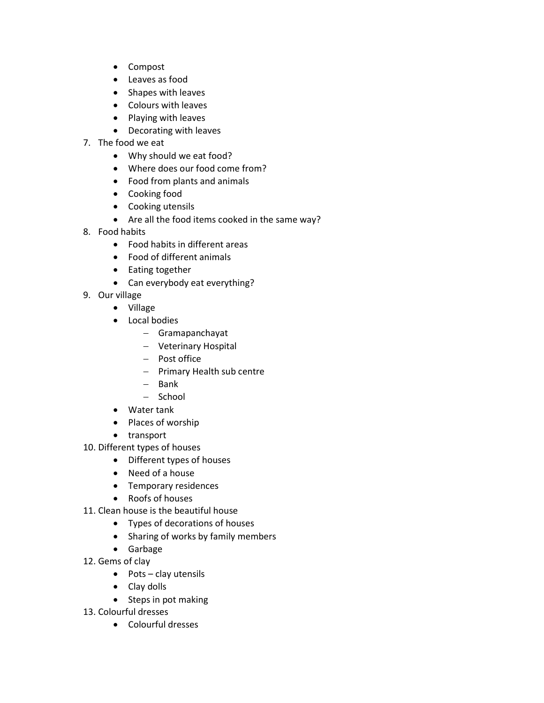- Compost
- Leaves as food
- Shapes with leaves
- Colours with leaves
- Playing with leaves
- Decorating with leaves
- 7. The food we eat
	- Why should we eat food?
	- Where does our food come from?
	- Food from plants and animals
	- Cooking food
	- Cooking utensils
	- Are all the food items cooked in the same way?
- 8. Food habits
	- Food habits in different areas
	- Food of different animals
	- Eating together
	- Can everybody eat everything?
- 9. Our village
	- Village
	- Local bodies
		- − Gramapanchayat
		- − Veterinary Hospital
		- − Post office
		- − Primary Health sub centre
		- − Bank
		- − School
	- Water tank
	- Places of worship
	- transport
- 10. Different types of houses
	- Different types of houses
	- Need of a house
	- Temporary residences
	- Roofs of houses
- 11. Clean house is the beautiful house
	- Types of decorations of houses
	- Sharing of works by family members
	- Garbage
- 12. Gems of clay
	- Pots clay utensils
	- Clay dolls
	- Steps in pot making
- 13. Colourful dresses
	- Colourful dresses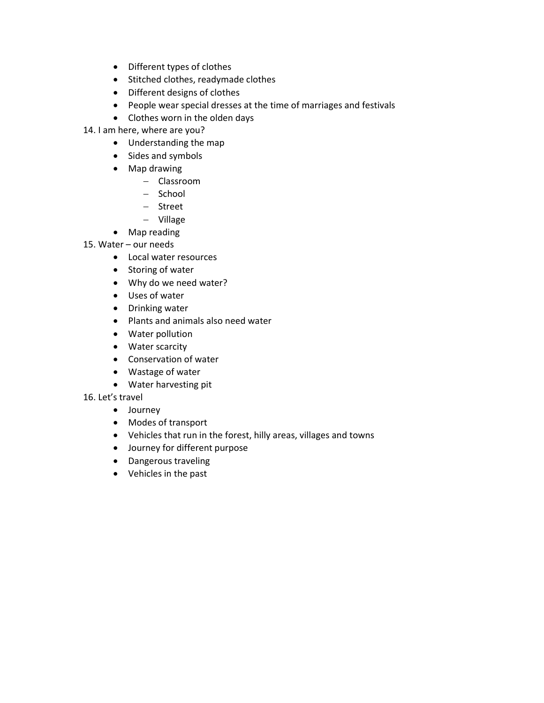- Different types of clothes
- Stitched clothes, readymade clothes
- Different designs of clothes
- People wear special dresses at the time of marriages and festivals
- Clothes worn in the olden days

14. I am here, where are you?

- Understanding the map
- Sides and symbols
- Map drawing
	- − Classroom
	- − School
	- − Street
	- − Village
- Map reading
- 15. Water our needs
	- Local water resources
	- Storing of water
	- Why do we need water?
	- Uses of water
	- Drinking water
	- Plants and animals also need water
	- Water pollution
	- Water scarcity
	- Conservation of water
	- Wastage of water
	- Water harvesting pit
- 16. Let's travel
	- Journey
	- Modes of transport
	- Vehicles that run in the forest, hilly areas, villages and towns
	- Journey for different purpose
	- Dangerous traveling
	- Vehicles in the past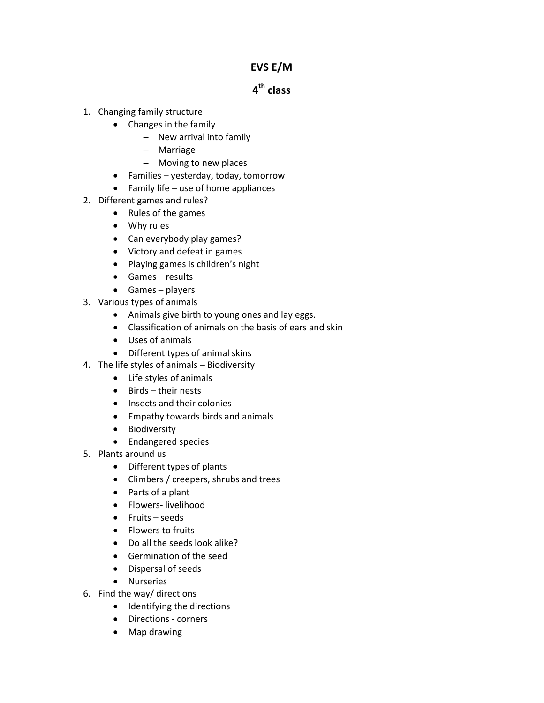## EVS E/M

# 4<sup>th</sup> class

- 1. Changing family structure
	- Changes in the family
		- − New arrival into family
		- − Marriage
		- − Moving to new places
	- Families yesterday, today, tomorrow
	- Family life use of home appliances
- 2. Different games and rules?
	- Rules of the games
	- Why rules
	- Can everybody play games?
	- Victory and defeat in games
	- Playing games is children's night
	- Games results
	- Games players
- 3. Various types of animals
	- Animals give birth to young ones and lay eggs.
	- Classification of animals on the basis of ears and skin
	- Uses of animals
	- Different types of animal skins
- 4. The life styles of animals Biodiversity
	- Life styles of animals
	- Birds their nests
	- Insects and their colonies
	- Empathy towards birds and animals
	- Biodiversity
	- Endangered species
- 5. Plants around us
	- Different types of plants
	- Climbers / creepers, shrubs and trees
	- Parts of a plant
	- Flowers- livelihood
	- Fruits seeds
	- Flowers to fruits
	- Do all the seeds look alike?
	- Germination of the seed
	- Dispersal of seeds
	- Nurseries
- 6. Find the way/ directions
	- Identifying the directions
	- Directions corners
	- Map drawing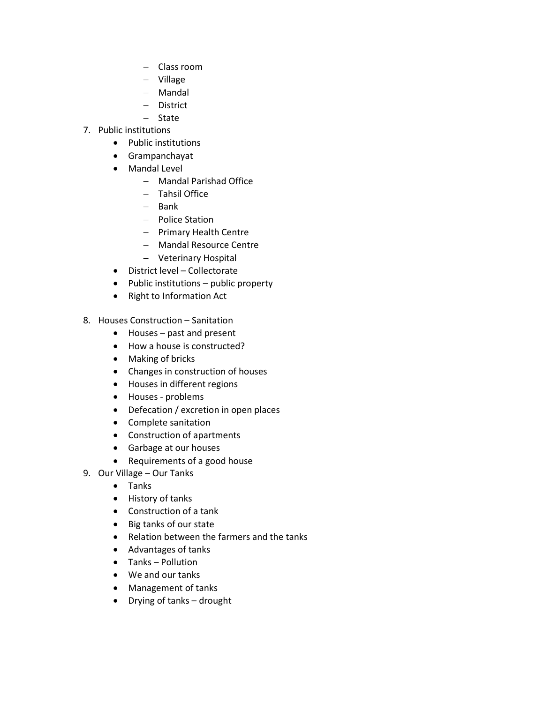- − Class room
- − Village
- − Mandal
- − District
- − State
- 7. Public institutions
	- Public institutions
	- Grampanchayat
	- Mandal Level
		- − Mandal Parishad Office
		- − Tahsil Office
		- − Bank
		- − Police Station
		- − Primary Health Centre
		- − Mandal Resource Centre
		- − Veterinary Hospital
	- District level Collectorate
	- Public institutions public property
	- Right to Information Act
- 8. Houses Construction Sanitation
	- Houses past and present
	- How a house is constructed?
	- Making of bricks
	- Changes in construction of houses
	- Houses in different regions
	- Houses problems
	- Defecation / excretion in open places
	- Complete sanitation
	- Construction of apartments
	- Garbage at our houses
	- Requirements of a good house
- 9. Our Village Our Tanks
	- Tanks
	- History of tanks
	- Construction of a tank
	- Big tanks of our state
	- Relation between the farmers and the tanks
	- Advantages of tanks
	- Tanks Pollution
	- We and our tanks
	- Management of tanks
	- Drying of tanks drought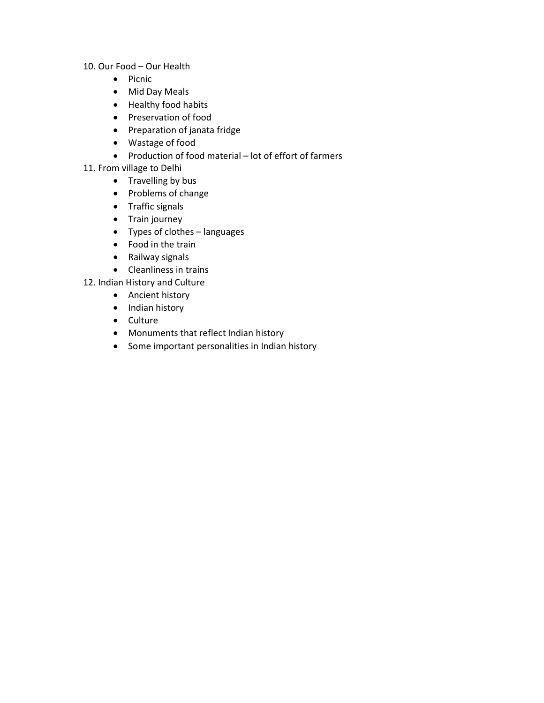- 10. Our Food Our Health
	- Picnic
	- Mid Day Meals
	- Healthy food habits
	- Preservation of food
	- Preparation of janata fridge
	- Wastage of food
	- Production of food material lot of effort of farmers
- 11. From village to Delhi
	- Travelling by bus
	- Problems of change
	- Traffic signals
	- Train journey
	- Types of clothes languages
	- Food in the train
	- Railway signals
	- Cleanliness in trains
- 12. Indian History and Culture
	- Ancient history
	- Indian history
	- Culture
	- Monuments that reflect Indian history
	- Some important personalities in Indian history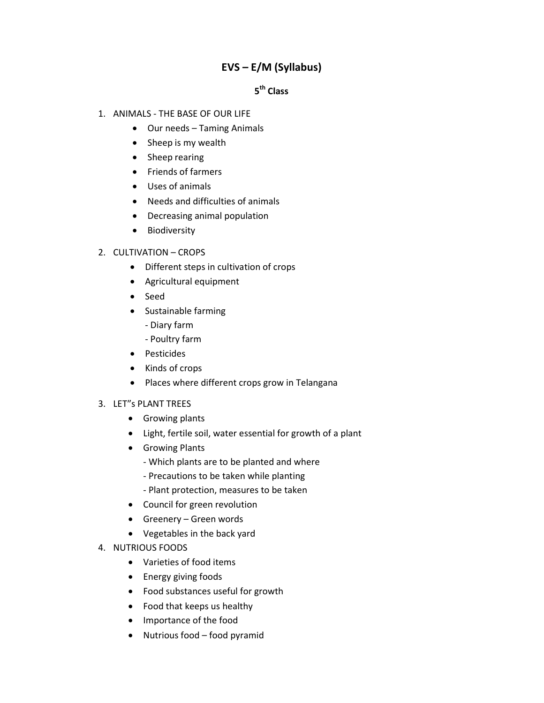## EVS – E/M (Syllabus)

## 5<sup>th</sup> Class

- 1. ANIMALS THE BASE OF OUR LIFE
	- Our needs Taming Animals
	- Sheep is my wealth
	- Sheep rearing
	- Friends of farmers
	- Uses of animals
	- Needs and difficulties of animals
	- Decreasing animal population
	- Biodiversity
- 2. CULTIVATION CROPS
	- Different steps in cultivation of crops
	- Agricultural equipment
	- Seed
	- Sustainable farming
		- Diary farm
		- Poultry farm
	- Pesticides
	- Kinds of crops
	- Places where different crops grow in Telangana

## 3. LET"s PLANT TREES

- Growing plants
- Light, fertile soil, water essential for growth of a plant
- Growing Plants
	- Which plants are to be planted and where
	- Precautions to be taken while planting
	- Plant protection, measures to be taken
- Council for green revolution
- Greenery Green words
- Vegetables in the back yard
- 4. NUTRIOUS FOODS
	- Varieties of food items
	- Energy giving foods
	- Food substances useful for growth
	- Food that keeps us healthy
	- Importance of the food
	- Nutrious food food pyramid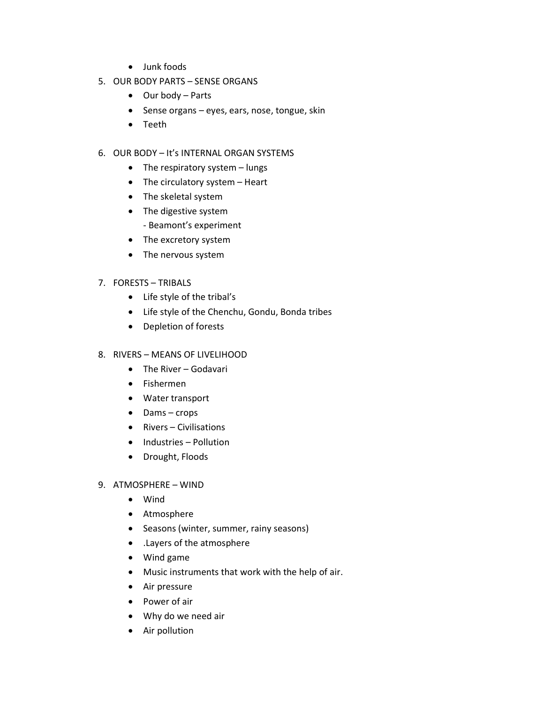- Junk foods
- 5. OUR BODY PARTS SENSE ORGANS
	- Our body Parts
	- Sense organs eyes, ears, nose, tongue, skin
	- Teeth
- 6. OUR BODY It's INTERNAL ORGAN SYSTEMS
	- The respiratory system lungs
	- The circulatory system Heart
	- The skeletal system
	- The digestive system
		- Beamont's experiment
	- The excretory system
	- The nervous system
- 7. FORESTS TRIBALS
	- Life style of the tribal's
	- Life style of the Chenchu, Gondu, Bonda tribes
	- Depletion of forests
- 8. RIVERS MEANS OF LIVELIHOOD
	- The River Godavari
	- Fishermen
	- Water transport
	- Dams crops
	- Rivers Civilisations
	- Industries Pollution
	- Drought, Floods
- 9. ATMOSPHERE WIND
	- Wind
	- Atmosphere
	- Seasons (winter, summer, rainy seasons)
	- .Layers of the atmosphere
	- Wind game
	- Music instruments that work with the help of air.
	- Air pressure
	- Power of air
	- Why do we need air
	- Air pollution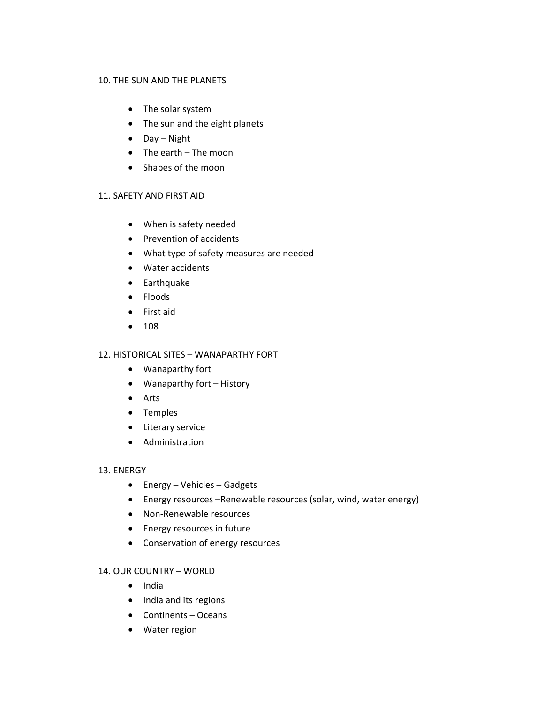#### 10. THE SUN AND THE PLANETS

- The solar system
- The sun and the eight planets
- Day Night
- The earth The moon
- Shapes of the moon

## 11. SAFETY AND FIRST AID

- When is safety needed
- Prevention of accidents
- What type of safety measures are needed
- Water accidents
- Earthquake
- Floods
- First aid
- 108

## 12. HISTORICAL SITES – WANAPARTHY FORT

- Wanaparthy fort
- Wanaparthy fort History
- Arts
- Temples
- Literary service
- Administration

#### 13. ENERGY

- Energy Vehicles Gadgets
- Energy resources –Renewable resources (solar, wind, water energy)
- Non-Renewable resources
- Energy resources in future
- Conservation of energy resources

## 14. OUR COUNTRY – WORLD

- India
- India and its regions
- Continents Oceans
- Water region